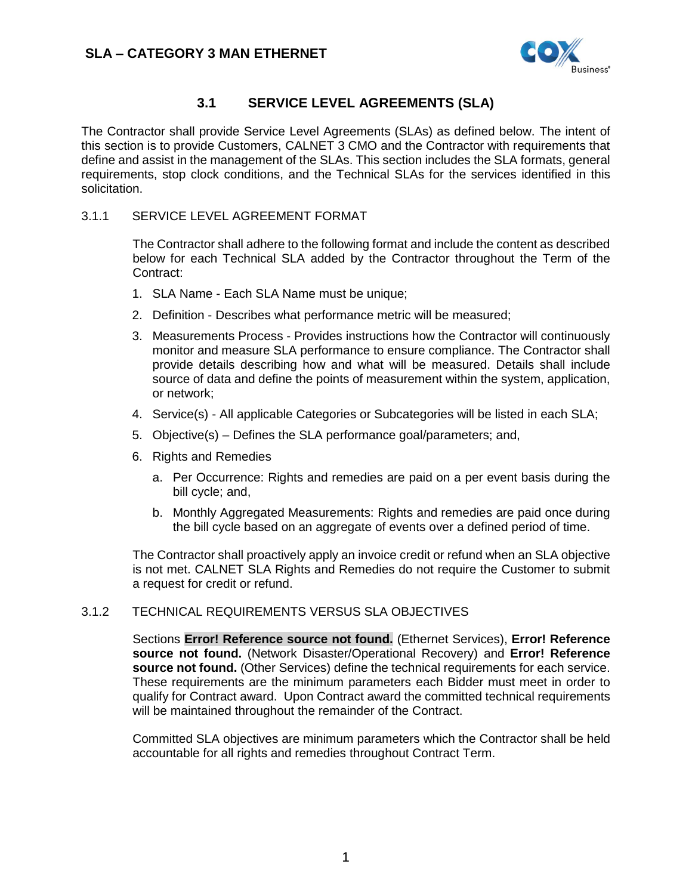

## **3.1 SERVICE LEVEL AGREEMENTS (SLA)**

<span id="page-0-0"></span>The Contractor shall provide Service Level Agreements (SLAs) as defined below. The intent of this section is to provide Customers, CALNET 3 CMO and the Contractor with requirements that define and assist in the management of the SLAs. This section includes the SLA formats, general requirements, stop clock conditions, and the Technical SLAs for the services identified in this solicitation.

### 3.1.1 SERVICE LEVEL AGREEMENT FORMAT

The Contractor shall adhere to the following format and include the content as described below for each Technical SLA added by the Contractor throughout the Term of the Contract:

- 1. SLA Name Each SLA Name must be unique;
- 2. Definition Describes what performance metric will be measured;
- 3. Measurements Process Provides instructions how the Contractor will continuously monitor and measure SLA performance to ensure compliance. The Contractor shall provide details describing how and what will be measured. Details shall include source of data and define the points of measurement within the system, application, or network;
- 4. Service(s) All applicable Categories or Subcategories will be listed in each SLA;
- 5. Objective(s) Defines the SLA performance goal/parameters; and,
- 6. Rights and Remedies
	- a. Per Occurrence: Rights and remedies are paid on a per event basis during the bill cycle; and,
	- b. Monthly Aggregated Measurements: Rights and remedies are paid once during the bill cycle based on an aggregate of events over a defined period of time.

The Contractor shall proactively apply an invoice credit or refund when an SLA objective is not met. CALNET SLA Rights and Remedies do not require the Customer to submit a request for credit or refund.

### 3.1.2 TECHNICAL REQUIREMENTS VERSUS SLA OBJECTIVES

Sections **Error! Reference source not found.** (Ethernet Services), **Error! Reference source not found.** (Network Disaster/Operational Recovery) and **Error! Reference source not found.** (Other Services) define the technical requirements for each service. These requirements are the minimum parameters each Bidder must meet in order to qualify for Contract award. Upon Contract award the committed technical requirements will be maintained throughout the remainder of the Contract.

Committed SLA objectives are minimum parameters which the Contractor shall be held accountable for all rights and remedies throughout Contract Term.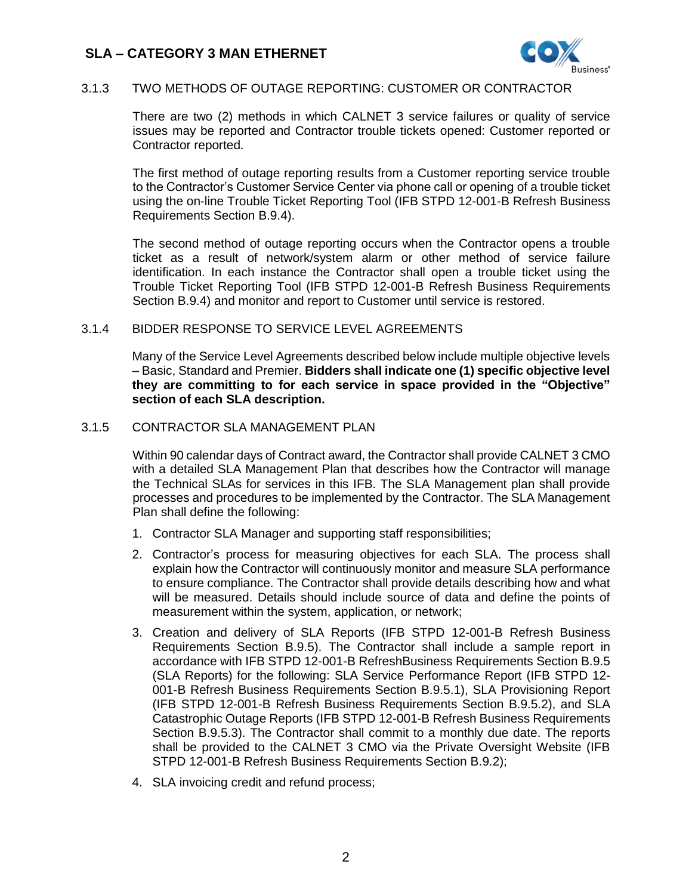

### 3.1.3 TWO METHODS OF OUTAGE REPORTING: CUSTOMER OR CONTRACTOR

There are two (2) methods in which CALNET 3 service failures or quality of service issues may be reported and Contractor trouble tickets opened: Customer reported or Contractor reported.

The first method of outage reporting results from a Customer reporting service trouble to the Contractor's Customer Service Center via phone call or opening of a trouble ticket using the on-line Trouble Ticket Reporting Tool (IFB STPD 12-001-B Refresh Business Requirements Section B.9.4).

The second method of outage reporting occurs when the Contractor opens a trouble ticket as a result of network/system alarm or other method of service failure identification. In each instance the Contractor shall open a trouble ticket using the Trouble Ticket Reporting Tool (IFB STPD 12-001-B Refresh Business Requirements Section B.9.4) and monitor and report to Customer until service is restored.

### 3.1.4 BIDDER RESPONSE TO SERVICE LEVEL AGREEMENTS

Many of the Service Level Agreements described below include multiple objective levels – Basic, Standard and Premier. **Bidders shall indicate one (1) specific objective level they are committing to for each service in space provided in the "Objective" section of each SLA description.**

#### 3.1.5 CONTRACTOR SLA MANAGEMENT PLAN

Within 90 calendar days of Contract award, the Contractor shall provide CALNET 3 CMO with a detailed SLA Management Plan that describes how the Contractor will manage the Technical SLAs for services in this IFB. The SLA Management plan shall provide processes and procedures to be implemented by the Contractor. The SLA Management Plan shall define the following:

- 1. Contractor SLA Manager and supporting staff responsibilities;
- 2. Contractor's process for measuring objectives for each SLA. The process shall explain how the Contractor will continuously monitor and measure SLA performance to ensure compliance. The Contractor shall provide details describing how and what will be measured. Details should include source of data and define the points of measurement within the system, application, or network;
- 3. Creation and delivery of SLA Reports (IFB STPD 12-001-B Refresh Business Requirements Section B.9.5). The Contractor shall include a sample report in accordance with IFB STPD 12-001-B RefreshBusiness Requirements Section B.9.5 (SLA Reports) for the following: SLA Service Performance Report (IFB STPD 12- 001-B Refresh Business Requirements Section B.9.5.1), SLA Provisioning Report (IFB STPD 12-001-B Refresh Business Requirements Section B.9.5.2), and SLA Catastrophic Outage Reports (IFB STPD 12-001-B Refresh Business Requirements Section B.9.5.3). The Contractor shall commit to a monthly due date. The reports shall be provided to the CALNET 3 CMO via the Private Oversight Website (IFB STPD 12-001-B Refresh Business Requirements Section B.9.2);
- 4. SLA invoicing credit and refund process;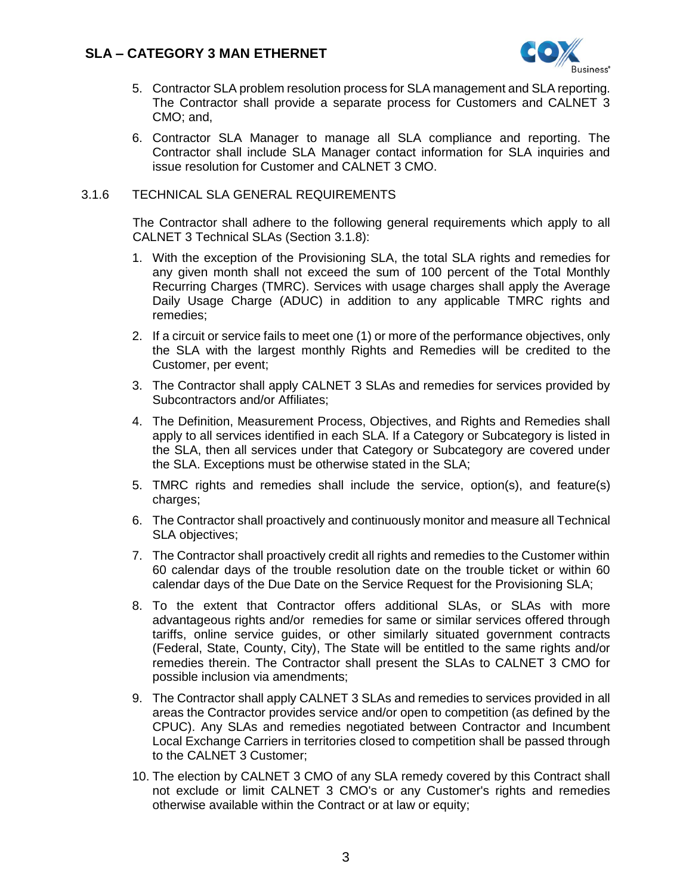

- 5. Contractor SLA problem resolution process for SLA management and SLA reporting. The Contractor shall provide a separate process for Customers and CALNET 3 CMO; and,
- 6. Contractor SLA Manager to manage all SLA compliance and reporting. The Contractor shall include SLA Manager contact information for SLA inquiries and issue resolution for Customer and CALNET 3 CMO.

#### 3.1.6 TECHNICAL SLA GENERAL REQUIREMENTS

The Contractor shall adhere to the following general requirements which apply to all CALNET 3 Technical SLAs (Section [3.1.8\)](#page-7-0):

- 1. With the exception of the Provisioning SLA, the total SLA rights and remedies for any given month shall not exceed the sum of 100 percent of the Total Monthly Recurring Charges (TMRC). Services with usage charges shall apply the Average Daily Usage Charge (ADUC) in addition to any applicable TMRC rights and remedies;
- 2. If a circuit or service fails to meet one (1) or more of the performance objectives, only the SLA with the largest monthly Rights and Remedies will be credited to the Customer, per event;
- 3. The Contractor shall apply CALNET 3 SLAs and remedies for services provided by Subcontractors and/or Affiliates;
- 4. The Definition, Measurement Process, Objectives, and Rights and Remedies shall apply to all services identified in each SLA. If a Category or Subcategory is listed in the SLA, then all services under that Category or Subcategory are covered under the SLA. Exceptions must be otherwise stated in the SLA;
- 5. TMRC rights and remedies shall include the service, option(s), and feature(s) charges;
- 6. The Contractor shall proactively and continuously monitor and measure all Technical SLA objectives;
- 7. The Contractor shall proactively credit all rights and remedies to the Customer within 60 calendar days of the trouble resolution date on the trouble ticket or within 60 calendar days of the Due Date on the Service Request for the Provisioning SLA;
- 8. To the extent that Contractor offers additional SLAs, or SLAs with more advantageous rights and/or remedies for same or similar services offered through tariffs, online service guides, or other similarly situated government contracts (Federal, State, County, City), The State will be entitled to the same rights and/or remedies therein. The Contractor shall present the SLAs to CALNET 3 CMO for possible inclusion via amendments;
- 9. The Contractor shall apply CALNET 3 SLAs and remedies to services provided in all areas the Contractor provides service and/or open to competition (as defined by the CPUC). Any SLAs and remedies negotiated between Contractor and Incumbent Local Exchange Carriers in territories closed to competition shall be passed through to the CALNET 3 Customer;
- 10. The election by CALNET 3 CMO of any SLA remedy covered by this Contract shall not exclude or limit CALNET 3 CMO's or any Customer's rights and remedies otherwise available within the Contract or at law or equity;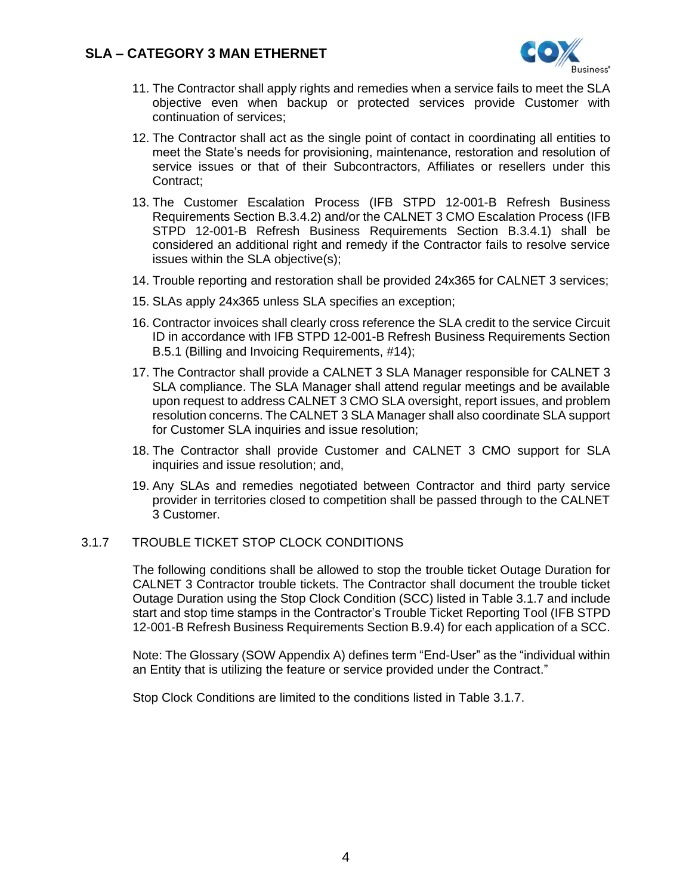

- 11. The Contractor shall apply rights and remedies when a service fails to meet the SLA objective even when backup or protected services provide Customer with continuation of services;
- 12. The Contractor shall act as the single point of contact in coordinating all entities to meet the State's needs for provisioning, maintenance, restoration and resolution of service issues or that of their Subcontractors, Affiliates or resellers under this Contract;
- 13. The Customer Escalation Process (IFB STPD 12-001-B Refresh Business Requirements Section B.3.4.2) and/or the CALNET 3 CMO Escalation Process (IFB STPD 12-001-B Refresh Business Requirements Section B.3.4.1) shall be considered an additional right and remedy if the Contractor fails to resolve service issues within the SLA objective(s);
- 14. Trouble reporting and restoration shall be provided 24x365 for CALNET 3 services;
- 15. SLAs apply 24x365 unless SLA specifies an exception;
- 16. Contractor invoices shall clearly cross reference the SLA credit to the service Circuit ID in accordance with IFB STPD 12-001-B Refresh Business Requirements Section B.5.1 (Billing and Invoicing Requirements, #14);
- 17. The Contractor shall provide a CALNET 3 SLA Manager responsible for CALNET 3 SLA compliance. The SLA Manager shall attend regular meetings and be available upon request to address CALNET 3 CMO SLA oversight, report issues, and problem resolution concerns. The CALNET 3 SLA Manager shall also coordinate SLA support for Customer SLA inquiries and issue resolution;
- 18. The Contractor shall provide Customer and CALNET 3 CMO support for SLA inquiries and issue resolution; and,
- 19. Any SLAs and remedies negotiated between Contractor and third party service provider in territories closed to competition shall be passed through to the CALNET 3 Customer.

#### <span id="page-3-0"></span>3.1.7 TROUBLE TICKET STOP CLOCK CONDITIONS

The following conditions shall be allowed to stop the trouble ticket Outage Duration for CALNET 3 Contractor trouble tickets. The Contractor shall document the trouble ticket Outage Duration using the Stop Clock Condition (SCC) listed in Tabl[e 3.1.7](#page-3-0) and include start and stop time stamps in the Contractor's Trouble Ticket Reporting Tool (IFB STPD 12-001-B Refresh Business Requirements Section B.9.4) for each application of a SCC.

Note: The Glossary (SOW Appendix A) defines term "End-User" as the "individual within an Entity that is utilizing the feature or service provided under the Contract."

Stop Clock Conditions are limited to the conditions listed in Table [3.1.7.](#page-3-0)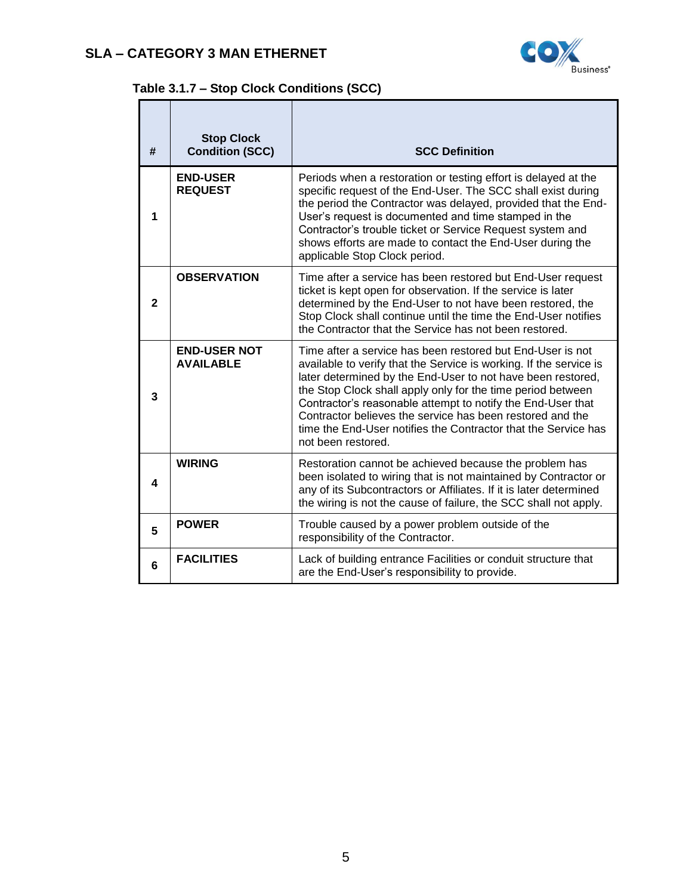

# **Table [3.1.7](#page-3-0) – Stop Clock Conditions (SCC)**

| #            | <b>Stop Clock</b><br><b>Condition (SCC)</b> | <b>SCC Definition</b>                                                                                                                                                                                                                                                                                                                                                                                                                                                              |
|--------------|---------------------------------------------|------------------------------------------------------------------------------------------------------------------------------------------------------------------------------------------------------------------------------------------------------------------------------------------------------------------------------------------------------------------------------------------------------------------------------------------------------------------------------------|
| 1            | <b>END-USER</b><br><b>REQUEST</b>           | Periods when a restoration or testing effort is delayed at the<br>specific request of the End-User. The SCC shall exist during<br>the period the Contractor was delayed, provided that the End-<br>User's request is documented and time stamped in the<br>Contractor's trouble ticket or Service Request system and<br>shows efforts are made to contact the End-User during the<br>applicable Stop Clock period.                                                                 |
| $\mathbf{2}$ | <b>OBSERVATION</b>                          | Time after a service has been restored but End-User request<br>ticket is kept open for observation. If the service is later<br>determined by the End-User to not have been restored, the<br>Stop Clock shall continue until the time the End-User notifies<br>the Contractor that the Service has not been restored.                                                                                                                                                               |
| 3            | <b>END-USER NOT</b><br><b>AVAILABLE</b>     | Time after a service has been restored but End-User is not<br>available to verify that the Service is working. If the service is<br>later determined by the End-User to not have been restored,<br>the Stop Clock shall apply only for the time period between<br>Contractor's reasonable attempt to notify the End-User that<br>Contractor believes the service has been restored and the<br>time the End-User notifies the Contractor that the Service has<br>not been restored. |
| 4            | <b>WIRING</b>                               | Restoration cannot be achieved because the problem has<br>been isolated to wiring that is not maintained by Contractor or<br>any of its Subcontractors or Affiliates. If it is later determined<br>the wiring is not the cause of failure, the SCC shall not apply.                                                                                                                                                                                                                |
| 5            | <b>POWER</b>                                | Trouble caused by a power problem outside of the<br>responsibility of the Contractor.                                                                                                                                                                                                                                                                                                                                                                                              |
| 6            | <b>FACILITIES</b>                           | Lack of building entrance Facilities or conduit structure that<br>are the End-User's responsibility to provide.                                                                                                                                                                                                                                                                                                                                                                    |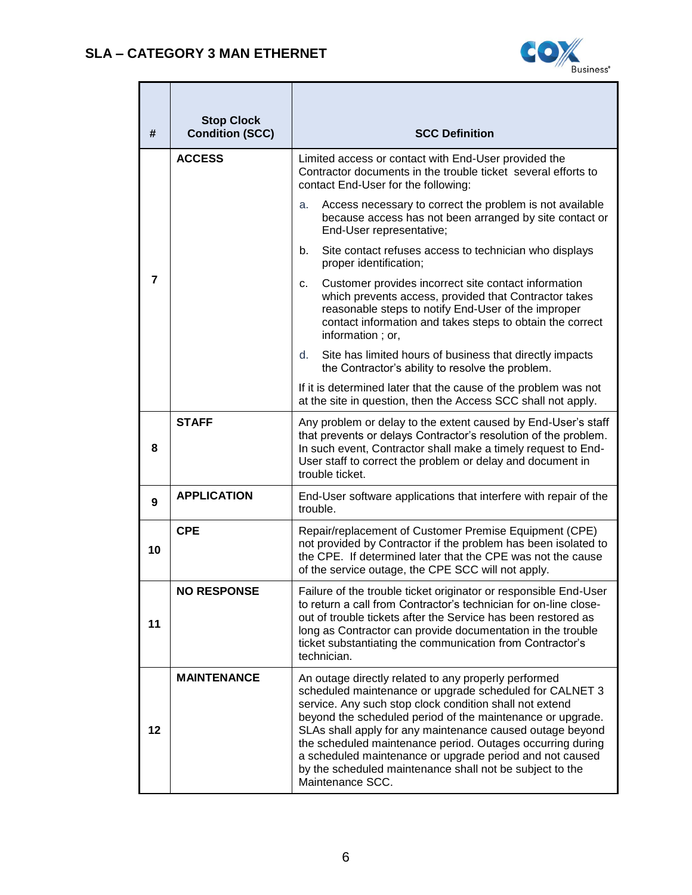

| #              | <b>Stop Clock</b><br><b>Condition (SCC)</b> | <b>SCC Definition</b>                                                                                                                                                                                                                                                                                                                                                                                                                                                                                           |  |  |  |
|----------------|---------------------------------------------|-----------------------------------------------------------------------------------------------------------------------------------------------------------------------------------------------------------------------------------------------------------------------------------------------------------------------------------------------------------------------------------------------------------------------------------------------------------------------------------------------------------------|--|--|--|
|                | <b>ACCESS</b>                               | Limited access or contact with End-User provided the<br>Contractor documents in the trouble ticket several efforts to<br>contact End-User for the following:                                                                                                                                                                                                                                                                                                                                                    |  |  |  |
|                |                                             | Access necessary to correct the problem is not available<br>a.<br>because access has not been arranged by site contact or<br>End-User representative;                                                                                                                                                                                                                                                                                                                                                           |  |  |  |
|                |                                             | Site contact refuses access to technician who displays<br>b.<br>proper identification;                                                                                                                                                                                                                                                                                                                                                                                                                          |  |  |  |
| $\overline{7}$ |                                             | Customer provides incorrect site contact information<br>c.<br>which prevents access, provided that Contractor takes<br>reasonable steps to notify End-User of the improper<br>contact information and takes steps to obtain the correct<br>information; or,                                                                                                                                                                                                                                                     |  |  |  |
|                |                                             | Site has limited hours of business that directly impacts<br>d.<br>the Contractor's ability to resolve the problem.                                                                                                                                                                                                                                                                                                                                                                                              |  |  |  |
|                |                                             | If it is determined later that the cause of the problem was not<br>at the site in question, then the Access SCC shall not apply.                                                                                                                                                                                                                                                                                                                                                                                |  |  |  |
| 8              | <b>STAFF</b>                                | Any problem or delay to the extent caused by End-User's staff<br>that prevents or delays Contractor's resolution of the problem.<br>In such event, Contractor shall make a timely request to End-<br>User staff to correct the problem or delay and document in<br>trouble ticket.                                                                                                                                                                                                                              |  |  |  |
| 9              | <b>APPLICATION</b>                          | End-User software applications that interfere with repair of the<br>trouble.                                                                                                                                                                                                                                                                                                                                                                                                                                    |  |  |  |
| 10             | <b>CPE</b>                                  | Repair/replacement of Customer Premise Equipment (CPE)<br>not provided by Contractor if the problem has been isolated to<br>the CPE. If determined later that the CPE was not the cause<br>of the service outage, the CPE SCC will not apply.                                                                                                                                                                                                                                                                   |  |  |  |
| 11             | <b>NO RESPONSE</b>                          | Failure of the trouble ticket originator or responsible End-User<br>to return a call from Contractor's technician for on-line close-<br>out of trouble tickets after the Service has been restored as<br>long as Contractor can provide documentation in the trouble<br>ticket substantiating the communication from Contractor's<br>technician.                                                                                                                                                                |  |  |  |
| 12             | <b>MAINTENANCE</b>                          | An outage directly related to any properly performed<br>scheduled maintenance or upgrade scheduled for CALNET 3<br>service. Any such stop clock condition shall not extend<br>beyond the scheduled period of the maintenance or upgrade.<br>SLAs shall apply for any maintenance caused outage beyond<br>the scheduled maintenance period. Outages occurring during<br>a scheduled maintenance or upgrade period and not caused<br>by the scheduled maintenance shall not be subject to the<br>Maintenance SCC. |  |  |  |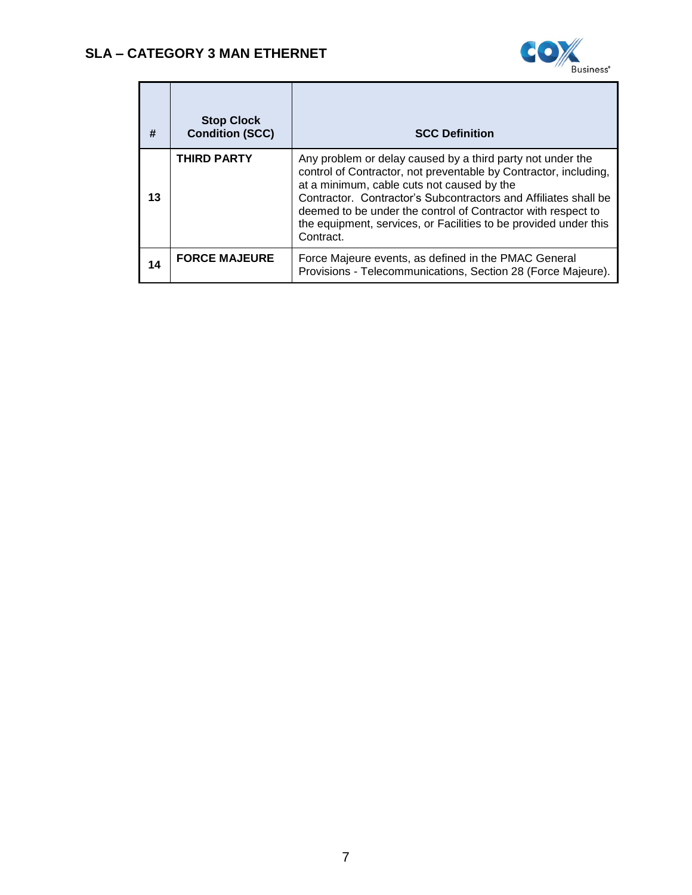

| #  | <b>Stop Clock</b><br><b>Condition (SCC)</b> | <b>SCC Definition</b>                                                                                                                                                                                                                                                                                                                                                                            |
|----|---------------------------------------------|--------------------------------------------------------------------------------------------------------------------------------------------------------------------------------------------------------------------------------------------------------------------------------------------------------------------------------------------------------------------------------------------------|
| 13 | <b>THIRD PARTY</b>                          | Any problem or delay caused by a third party not under the<br>control of Contractor, not preventable by Contractor, including,<br>at a minimum, cable cuts not caused by the<br>Contractor. Contractor's Subcontractors and Affiliates shall be<br>deemed to be under the control of Contractor with respect to<br>the equipment, services, or Facilities to be provided under this<br>Contract. |
| 14 | <b>FORCE MAJEURE</b>                        | Force Majeure events, as defined in the PMAC General<br>Provisions - Telecommunications, Section 28 (Force Majeure).                                                                                                                                                                                                                                                                             |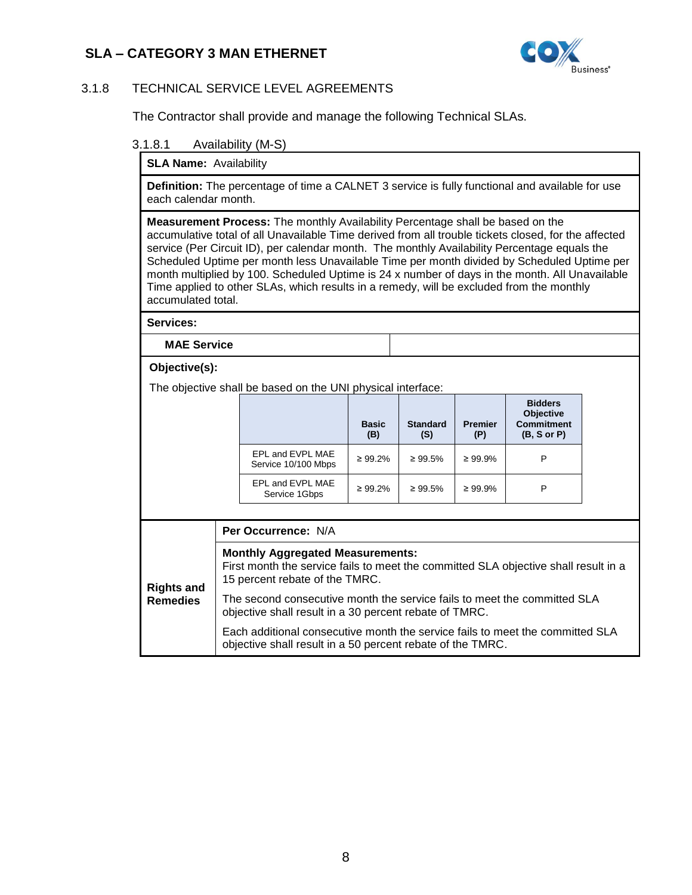

### <span id="page-7-0"></span>3.1.8 TECHNICAL SERVICE LEVEL AGREEMENTS

The Contractor shall provide and manage the following Technical SLAs.

#### 3.1.8.1 Availability (M-S)

**SLA Name:** Availability

**Definition:** The percentage of time a CALNET 3 service is fully functional and available for use each calendar month.

**Measurement Process:** The monthly Availability Percentage shall be based on the accumulative total of all Unavailable Time derived from all trouble tickets closed, for the affected service (Per Circuit ID), per calendar month. The monthly Availability Percentage equals the Scheduled Uptime per month less Unavailable Time per month divided by Scheduled Uptime per month multiplied by 100. Scheduled Uptime is 24 x number of days in the month. All Unavailable Time applied to other SLAs, which results in a remedy, will be excluded from the monthly accumulated total.

**Services:**

**MAE Service**

#### **Objective(s):**

The objective shall be based on the UNI physical interface:

|                                         | <b>Basic</b><br>(B) | <b>Standard</b><br>(S) | <b>Premier</b><br>(P) | <b>Bidders</b><br>Objective<br><b>Commitment</b><br>(B, S or P) |
|-----------------------------------------|---------------------|------------------------|-----------------------|-----------------------------------------------------------------|
| EPL and EVPL MAE<br>Service 10/100 Mbps | $\geq 99.2\%$       | $\geq 99.5\%$          | $\geq 99.9\%$         | P                                                               |
| EPL and EVPL MAE<br>Service 1Gbps       | $\geq 99.2\%$       | $\geq 99.5\%$          | $\geq 99.9\%$         | P                                                               |

|                                      | <b>Per Occurrence: N/A</b>                                                                                                                                                                                                                                                                             |
|--------------------------------------|--------------------------------------------------------------------------------------------------------------------------------------------------------------------------------------------------------------------------------------------------------------------------------------------------------|
| <b>Rights and</b><br><b>Remedies</b> | <b>Monthly Aggregated Measurements:</b><br>First month the service fails to meet the committed SLA objective shall result in a<br>15 percent rebate of the TMRC.<br>The second consecutive month the service fails to meet the committed SLA<br>objective shall result in a 30 percent rebate of TMRC. |
|                                      | Each additional consecutive month the service fails to meet the committed SLA<br>objective shall result in a 50 percent rebate of the TMRC.                                                                                                                                                            |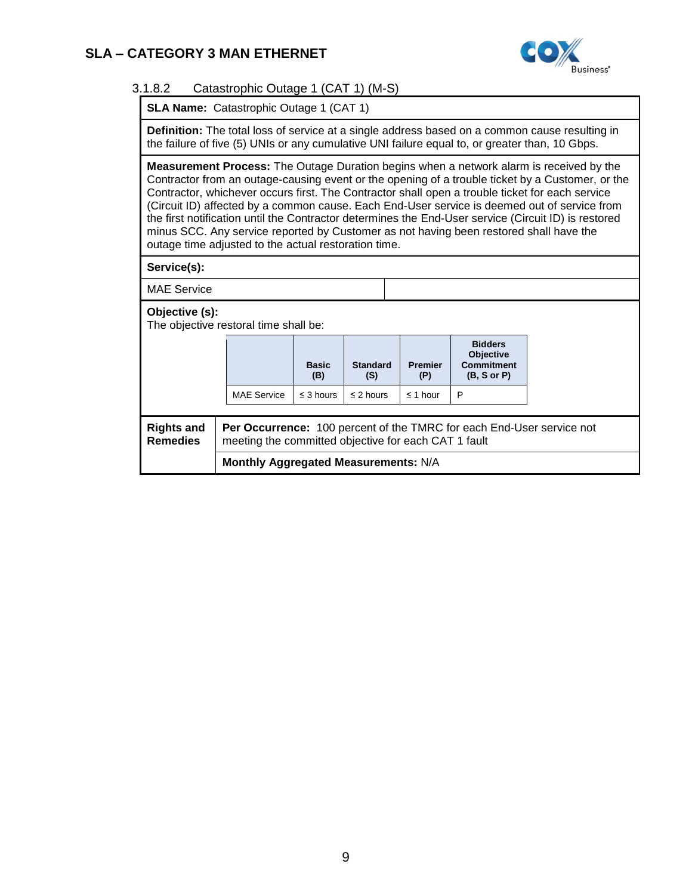

### 3.1.8.2 Catastrophic Outage 1 (CAT 1) (M-S)

**SLA Name: Catastrophic Outage 1 (CAT 1)** 

**Definition:** The total loss of service at a single address based on a common cause resulting in the failure of five (5) UNIs or any cumulative UNI failure equal to, or greater than, 10 Gbps.

**Measurement Process:** The Outage Duration begins when a network alarm is received by the Contractor from an outage-causing event or the opening of a trouble ticket by a Customer, or the Contractor, whichever occurs first. The Contractor shall open a trouble ticket for each service (Circuit ID) affected by a common cause. Each End-User service is deemed out of service from the first notification until the Contractor determines the End-User service (Circuit ID) is restored minus SCC. Any service reported by Customer as not having been restored shall have the outage time adjusted to the actual restoration time.

**Service(s):** 

MAE Service

**Objective (s):** 

The objective restoral time shall be:

|                                                                                                                                                                              |                                      | <b>Basic</b><br>(B) | <b>Standard</b><br>(S) | <b>Premier</b><br>(P) | <b>Bidders</b><br><b>Objective</b><br><b>Commitment</b><br>(B, S or P) |  |  |
|------------------------------------------------------------------------------------------------------------------------------------------------------------------------------|--------------------------------------|---------------------|------------------------|-----------------------|------------------------------------------------------------------------|--|--|
|                                                                                                                                                                              | <b>MAE Service</b>                   | $\leq$ 3 hours      | $\leq$ 2 hours         | $\leq$ 1 hour         | P                                                                      |  |  |
| <b>Per Occurrence:</b> 100 percent of the TMRC for each End-User service not<br><b>Rights and</b><br><b>Remedies</b><br>meeting the committed objective for each CAT 1 fault |                                      |                     |                        |                       |                                                                        |  |  |
|                                                                                                                                                                              | Monthly Aggregated Measurements: N/A |                     |                        |                       |                                                                        |  |  |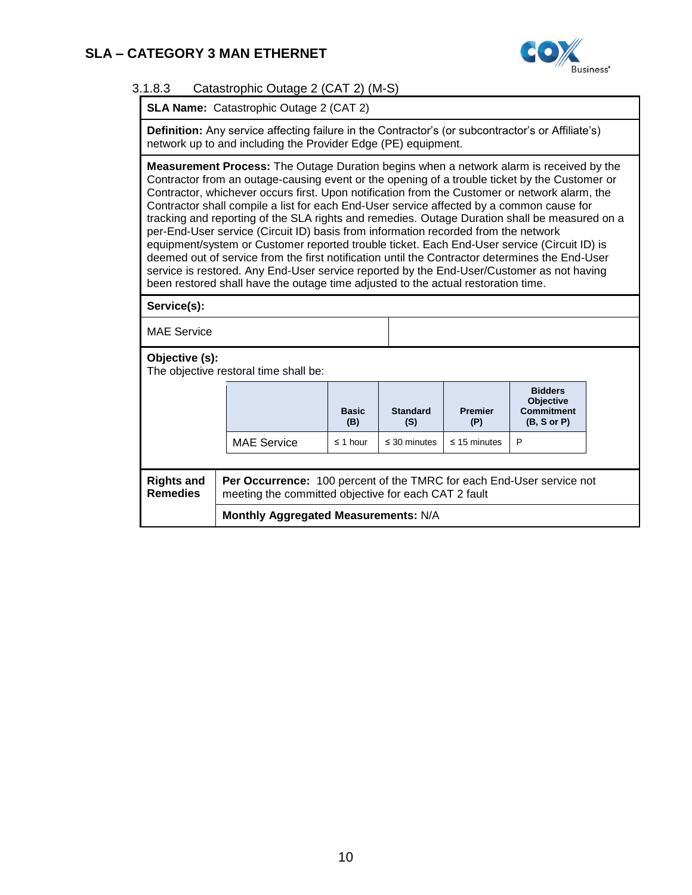

### 3.1.8.3 Catastrophic Outage 2 (CAT 2) (M-S)

**SLA Name:** Catastrophic Outage 2 (CAT 2)

**Definition:** Any service affecting failure in the Contractor's (or subcontractor's or Affiliate's) network up to and including the Provider Edge (PE) equipment.

**Measurement Process:** The Outage Duration begins when a network alarm is received by the Contractor from an outage-causing event or the opening of a trouble ticket by the Customer or Contractor, whichever occurs first. Upon notification from the Customer or network alarm, the Contractor shall compile a list for each End-User service affected by a common cause for tracking and reporting of the SLA rights and remedies. Outage Duration shall be measured on a per-End-User service (Circuit ID) basis from information recorded from the network equipment/system or Customer reported trouble ticket. Each End-User service (Circuit ID) is deemed out of service from the first notification until the Contractor determines the End-User service is restored. Any End-User service reported by the End-User/Customer as not having been restored shall have the outage time adjusted to the actual restoration time.

**Service(s):**

MAE Service

**Objective (s):** 

The objective restoral time shall be:

|                                      | The objective restoral time shall be:                                                                                         |                     |                        |                       |                                                                        |  |  |
|--------------------------------------|-------------------------------------------------------------------------------------------------------------------------------|---------------------|------------------------|-----------------------|------------------------------------------------------------------------|--|--|
|                                      |                                                                                                                               | <b>Basic</b><br>(B) | <b>Standard</b><br>(S) | <b>Premier</b><br>(P) | <b>Bidders</b><br><b>Objective</b><br><b>Commitment</b><br>(B, S or P) |  |  |
|                                      | <b>MAE Service</b>                                                                                                            | $\leq$ 1 hour       | $\leq$ 30 minutes      | $\leq$ 15 minutes     | P                                                                      |  |  |
|                                      |                                                                                                                               |                     |                        |                       |                                                                        |  |  |
| <b>Rights and</b><br><b>Remedies</b> | Per Occurrence: 100 percent of the TMRC for each End-User service not<br>meeting the committed objective for each CAT 2 fault |                     |                        |                       |                                                                        |  |  |
|                                      | Monthly Aggregated Measurements: N/A                                                                                          |                     |                        |                       |                                                                        |  |  |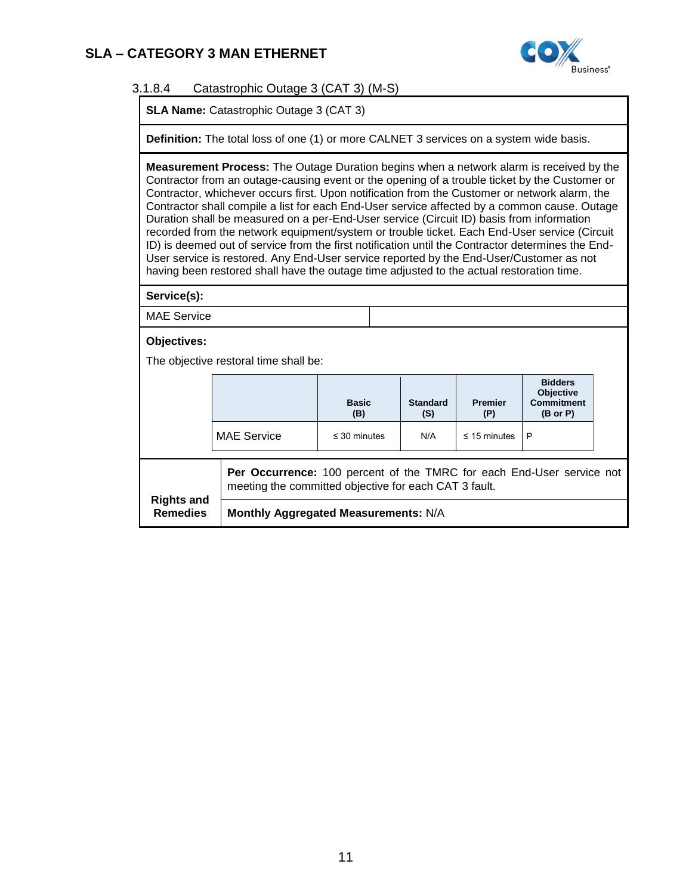

### 3.1.8.4 Catastrophic Outage 3 (CAT 3) (M-S)

**SLA Name:** Catastrophic Outage 3 (CAT 3)

**Definition:** The total loss of one (1) or more CALNET 3 services on a system wide basis.

**Measurement Process:** The Outage Duration begins when a network alarm is received by the Contractor from an outage-causing event or the opening of a trouble ticket by the Customer or Contractor, whichever occurs first. Upon notification from the Customer or network alarm, the Contractor shall compile a list for each End-User service affected by a common cause. Outage Duration shall be measured on a per-End-User service (Circuit ID) basis from information recorded from the network equipment/system or trouble ticket. Each End-User service (Circuit ID) is deemed out of service from the first notification until the Contractor determines the End-User service is restored. Any End-User service reported by the End-User/Customer as not having been restored shall have the outage time adjusted to the actual restoration time.

**Service(s):**

MAE Service

**Objectives:**

The objective restoral time shall be:

|                                      |                                      | <b>Basic</b><br>(B)                                                                                                            | <b>Standard</b><br>(S) | <b>Premier</b><br>(P) | <b>Bidders</b><br>Objective<br><b>Commitment</b><br>$(B \text{ or } P)$ |  |  |  |
|--------------------------------------|--------------------------------------|--------------------------------------------------------------------------------------------------------------------------------|------------------------|-----------------------|-------------------------------------------------------------------------|--|--|--|
|                                      | <b>MAE Service</b>                   | $\leq$ 30 minutes                                                                                                              | N/A                    | $\leq$ 15 minutes     | P                                                                       |  |  |  |
|                                      |                                      | Per Occurrence: 100 percent of the TMRC for each End-User service not<br>meeting the committed objective for each CAT 3 fault. |                        |                       |                                                                         |  |  |  |
| <b>Rights and</b><br><b>Remedies</b> | Monthly Aggregated Measurements: N/A |                                                                                                                                |                        |                       |                                                                         |  |  |  |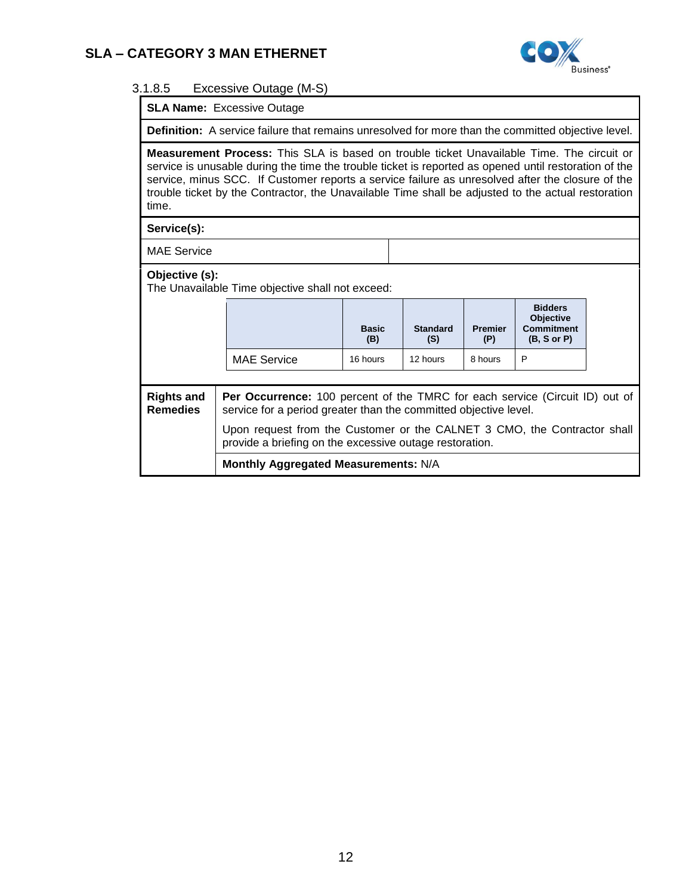

#### 3.1.8.5 Excessive Outage (M-S)

**SLA Name:** Excessive Outage

**Definition:** A service failure that remains unresolved for more than the committed objective level.

**Measurement Process:** This SLA is based on trouble ticket Unavailable Time. The circuit or service is unusable during the time the trouble ticket is reported as opened until restoration of the service, minus SCC. If Customer reports a service failure as unresolved after the closure of the trouble ticket by the Contractor, the Unavailable Time shall be adjusted to the actual restoration time.

**Service(s):**

MAE Service

#### **Objective (s):**

The Unavailable Time objective shall not exceed:

|                                      |                                                                                                                                                  | <b>Basic</b><br>(B) | <b>Standard</b><br>(S) | <b>Premier</b><br>(P) | <b>Bidders</b><br><b>Objective</b><br><b>Commitment</b><br>(B, S or P) |  |
|--------------------------------------|--------------------------------------------------------------------------------------------------------------------------------------------------|---------------------|------------------------|-----------------------|------------------------------------------------------------------------|--|
|                                      | <b>MAE Service</b>                                                                                                                               | 16 hours            | 12 hours               | 8 hours               | P                                                                      |  |
|                                      |                                                                                                                                                  |                     |                        |                       |                                                                        |  |
| <b>Rights and</b><br><b>Remedies</b> | Per Occurrence: 100 percent of the TMRC for each service (Circuit ID) out of<br>service for a period greater than the committed objective level. |                     |                        |                       |                                                                        |  |
|                                      | Upon request from the Customer or the CALNET 3 CMO, the Contractor shall<br>provide a briefing on the excessive outage restoration.              |                     |                        |                       |                                                                        |  |
|                                      | Monthly Aggregated Measurements: N/A                                                                                                             |                     |                        |                       |                                                                        |  |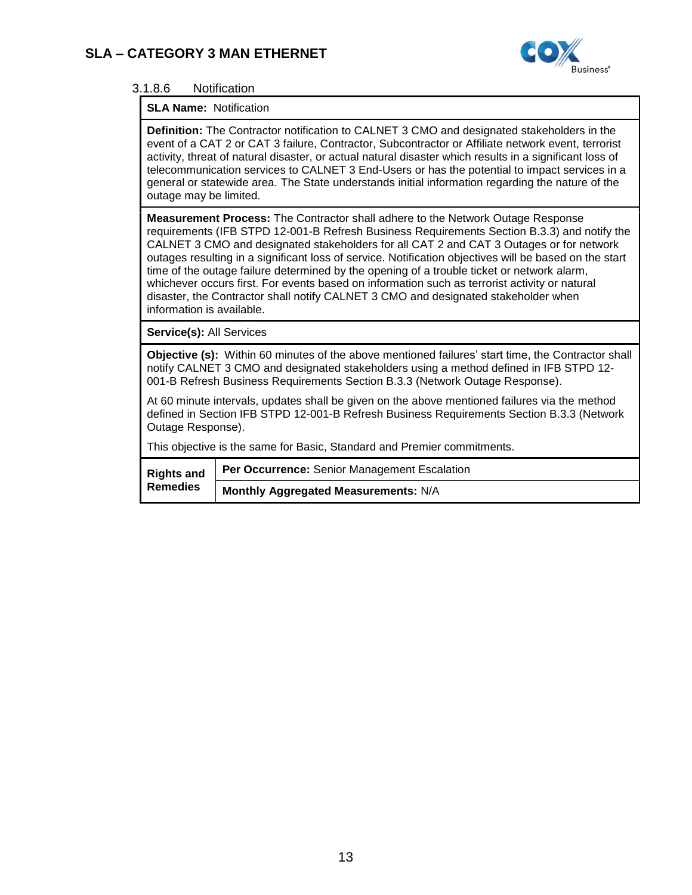

### 3.1.8.6 Notification

### **SLA Name:** Notification

**Definition:** The Contractor notification to CALNET 3 CMO and designated stakeholders in the event of a CAT 2 or CAT 3 failure, Contractor, Subcontractor or Affiliate network event, terrorist activity, threat of natural disaster, or actual natural disaster which results in a significant loss of telecommunication services to CALNET 3 End-Users or has the potential to impact services in a general or statewide area. The State understands initial information regarding the nature of the outage may be limited.

**Measurement Process:** The Contractor shall adhere to the Network Outage Response requirements (IFB STPD 12-001-B Refresh Business Requirements Section B.3.3) and notify the CALNET 3 CMO and designated stakeholders for all CAT 2 and CAT 3 Outages or for network outages resulting in a significant loss of service. Notification objectives will be based on the start time of the outage failure determined by the opening of a trouble ticket or network alarm, whichever occurs first. For events based on information such as terrorist activity or natural disaster, the Contractor shall notify CALNET 3 CMO and designated stakeholder when information is available.

**Service(s):** All Services

**Objective (s):** Within 60 minutes of the above mentioned failures' start time, the Contractor shall notify CALNET 3 CMO and designated stakeholders using a method defined in IFB STPD 12- 001-B Refresh Business Requirements Section B.3.3 (Network Outage Response).

At 60 minute intervals, updates shall be given on the above mentioned failures via the method defined in Section IFB STPD 12-001-B Refresh Business Requirements Section B.3.3 (Network Outage Response).

This objective is the same for Basic, Standard and Premier commitments.

| <b>Rights and</b> | <b>Per Occurrence: Senior Management Escalation</b> |
|-------------------|-----------------------------------------------------|
| <b>Remedies</b>   | Monthly Aggregated Measurements: N/A                |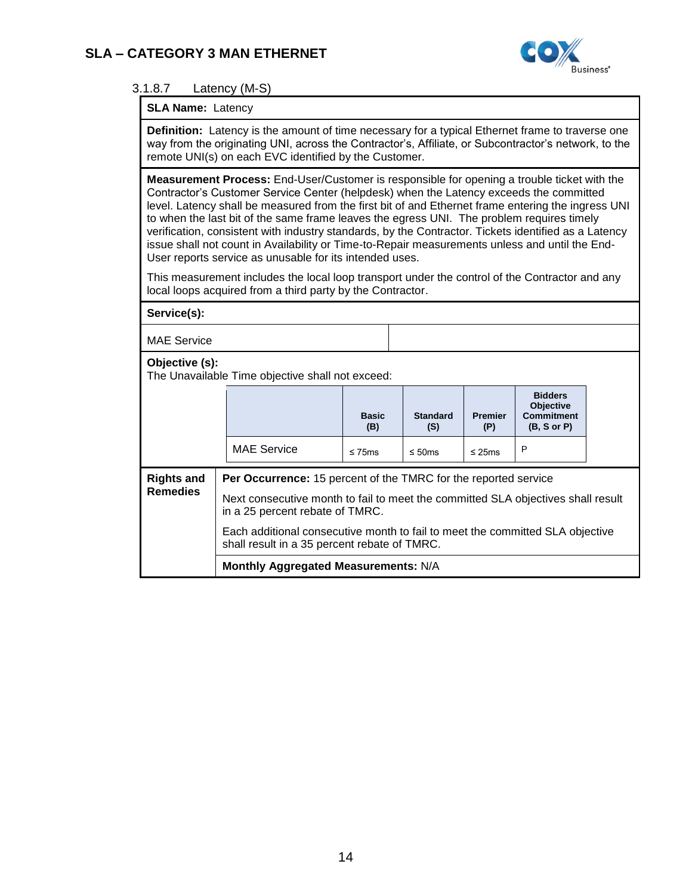

### 3.1.8.7 Latency (M-S)

#### **SLA Name:** Latency

**Definition:** Latency is the amount of time necessary for a typical Ethernet frame to traverse one way from the originating UNI, across the Contractor's, Affiliate, or Subcontractor's network, to the remote UNI(s) on each EVC identified by the Customer. **Measurement Process:** End-User/Customer is responsible for opening a trouble ticket with the Contractor's Customer Service Center (helpdesk) when the Latency exceeds the committed level. Latency shall be measured from the first bit of and Ethernet frame entering the ingress UNI to when the last bit of the same frame leaves the egress UNI. The problem requires timely verification, consistent with industry standards, by the Contractor. Tickets identified as a Latency issue shall not count in Availability or Time-to-Repair measurements unless and until the End-User reports service as unusable for its intended uses. This measurement includes the local loop transport under the control of the Contractor and any local loops acquired from a third party by the Contractor. **Service(s):** MAE Service **Objective (s):**  The Unavailable Time objective shall not exceed: **Basic (B) Standard (S) Premier (P) Bidders Objective Commitment (B, S or P)** MAE Service  $\left| \right|$   $\leq$  75ms  $\left| \right|$   $\leq$  50ms  $\left| \right|$   $\leq$  25ms  $\left| \right|$  P **Rights and Remedies Per Occurrence:** 15 percent of the TMRC for the reported service Next consecutive month to fail to meet the committed SLA objectives shall result in a 25 percent rebate of TMRC. Each additional consecutive month to fail to meet the committed SLA objective shall result in a 35 percent rebate of TMRC. **Monthly Aggregated Measurements:** N/A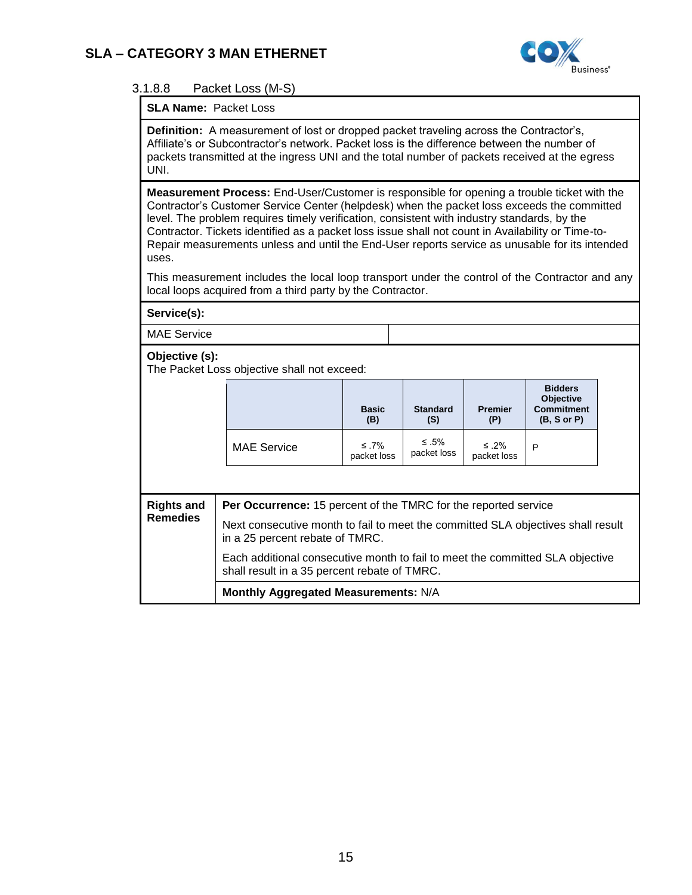

### 3.1.8.8 Packet Loss (M-S)

#### **SLA Name:** Packet Loss

**Definition:** A measurement of lost or dropped packet traveling across the Contractor's, Affiliate's or Subcontractor's network. Packet loss is the difference between the number of packets transmitted at the ingress UNI and the total number of packets received at the egress UNI.

**Measurement Process:** End-User/Customer is responsible for opening a trouble ticket with the Contractor's Customer Service Center (helpdesk) when the packet loss exceeds the committed level. The problem requires timely verification, consistent with industry standards, by the Contractor. Tickets identified as a packet loss issue shall not count in Availability or Time-to-Repair measurements unless and until the End-User reports service as unusable for its intended uses.

This measurement includes the local loop transport under the control of the Contractor and any local loops acquired from a third party by the Contractor.

| Service(s):                                                                                                                            |                                                                                                                               |                          |                            |                       |                                                                        |  |
|----------------------------------------------------------------------------------------------------------------------------------------|-------------------------------------------------------------------------------------------------------------------------------|--------------------------|----------------------------|-----------------------|------------------------------------------------------------------------|--|
| <b>MAE Service</b>                                                                                                                     |                                                                                                                               |                          |                            |                       |                                                                        |  |
| Objective (s):                                                                                                                         | The Packet Loss objective shall not exceed:                                                                                   |                          |                            |                       |                                                                        |  |
|                                                                                                                                        |                                                                                                                               | <b>Basic</b><br>(B)      | <b>Standard</b><br>(S)     | <b>Premier</b><br>(P) | <b>Bidders</b><br><b>Objective</b><br><b>Commitment</b><br>(B, S or P) |  |
|                                                                                                                                        | <b>MAE Service</b>                                                                                                            | $\leq$ 7%<br>packet loss | $\leq .5\%$<br>packet loss | ≤ .2%<br>packet loss  | P                                                                      |  |
|                                                                                                                                        |                                                                                                                               |                          |                            |                       |                                                                        |  |
| <b>Rights and</b>                                                                                                                      | <b>Per Occurrence:</b> 15 percent of the TMRC for the reported service                                                        |                          |                            |                       |                                                                        |  |
| <b>Remedies</b><br>Next consecutive month to fail to meet the committed SLA objectives shall result<br>in a 25 percent rebate of TMRC. |                                                                                                                               |                          |                            |                       |                                                                        |  |
|                                                                                                                                        | Each additional consecutive month to fail to meet the committed SLA objective<br>shall result in a 35 percent rebate of TMRC. |                          |                            |                       |                                                                        |  |
|                                                                                                                                        | Monthly Aggregated Measurements: N/A                                                                                          |                          |                            |                       |                                                                        |  |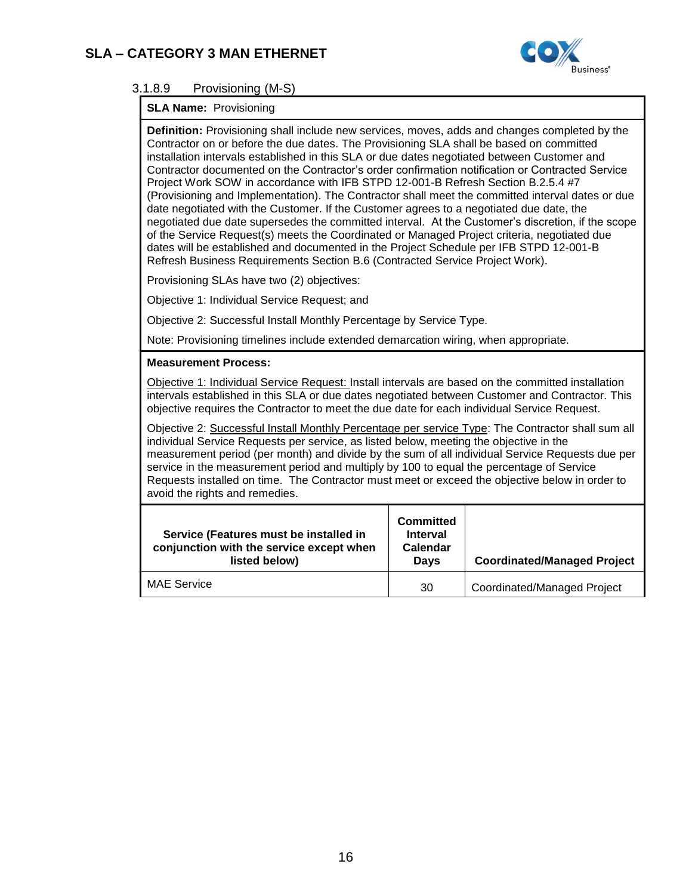

# 3.1.8.9 Provisioning (M-S)

# **SLA Name:** Provisioning

| <b>Definition:</b> Provisioning shall include new services, moves, adds and changes completed by the<br>Contractor on or before the due dates. The Provisioning SLA shall be based on committed<br>installation intervals established in this SLA or due dates negotiated between Customer and<br>Contractor documented on the Contractor's order confirmation notification or Contracted Service<br>Project Work SOW in accordance with IFB STPD 12-001-B Refresh Section B.2.5.4 #7<br>(Provisioning and Implementation). The Contractor shall meet the committed interval dates or due<br>date negotiated with the Customer. If the Customer agrees to a negotiated due date, the<br>negotiated due date supersedes the committed interval. At the Customer's discretion, if the scope<br>of the Service Request(s) meets the Coordinated or Managed Project criteria, negotiated due<br>dates will be established and documented in the Project Schedule per IFB STPD 12-001-B<br>Refresh Business Requirements Section B.6 (Contracted Service Project Work). |                                                                                                                                                                                                                                                                                                      |                                    |  |  |  |
|--------------------------------------------------------------------------------------------------------------------------------------------------------------------------------------------------------------------------------------------------------------------------------------------------------------------------------------------------------------------------------------------------------------------------------------------------------------------------------------------------------------------------------------------------------------------------------------------------------------------------------------------------------------------------------------------------------------------------------------------------------------------------------------------------------------------------------------------------------------------------------------------------------------------------------------------------------------------------------------------------------------------------------------------------------------------|------------------------------------------------------------------------------------------------------------------------------------------------------------------------------------------------------------------------------------------------------------------------------------------------------|------------------------------------|--|--|--|
| Provisioning SLAs have two (2) objectives:                                                                                                                                                                                                                                                                                                                                                                                                                                                                                                                                                                                                                                                                                                                                                                                                                                                                                                                                                                                                                         |                                                                                                                                                                                                                                                                                                      |                                    |  |  |  |
| Objective 1: Individual Service Request; and                                                                                                                                                                                                                                                                                                                                                                                                                                                                                                                                                                                                                                                                                                                                                                                                                                                                                                                                                                                                                       |                                                                                                                                                                                                                                                                                                      |                                    |  |  |  |
| Objective 2: Successful Install Monthly Percentage by Service Type.                                                                                                                                                                                                                                                                                                                                                                                                                                                                                                                                                                                                                                                                                                                                                                                                                                                                                                                                                                                                |                                                                                                                                                                                                                                                                                                      |                                    |  |  |  |
| Note: Provisioning timelines include extended demarcation wiring, when appropriate.                                                                                                                                                                                                                                                                                                                                                                                                                                                                                                                                                                                                                                                                                                                                                                                                                                                                                                                                                                                |                                                                                                                                                                                                                                                                                                      |                                    |  |  |  |
| <b>Measurement Process:</b>                                                                                                                                                                                                                                                                                                                                                                                                                                                                                                                                                                                                                                                                                                                                                                                                                                                                                                                                                                                                                                        |                                                                                                                                                                                                                                                                                                      |                                    |  |  |  |
|                                                                                                                                                                                                                                                                                                                                                                                                                                                                                                                                                                                                                                                                                                                                                                                                                                                                                                                                                                                                                                                                    | Objective 1: Individual Service Request: Install intervals are based on the committed installation<br>intervals established in this SLA or due dates negotiated between Customer and Contractor. This<br>objective requires the Contractor to meet the due date for each individual Service Request. |                                    |  |  |  |
| Objective 2: Successful Install Monthly Percentage per service Type: The Contractor shall sum all<br>individual Service Requests per service, as listed below, meeting the objective in the<br>measurement period (per month) and divide by the sum of all individual Service Requests due per<br>service in the measurement period and multiply by 100 to equal the percentage of Service<br>Requests installed on time. The Contractor must meet or exceed the objective below in order to<br>avoid the rights and remedies.                                                                                                                                                                                                                                                                                                                                                                                                                                                                                                                                     |                                                                                                                                                                                                                                                                                                      |                                    |  |  |  |
| Service (Features must be installed in<br>conjunction with the service except when<br>listed below)                                                                                                                                                                                                                                                                                                                                                                                                                                                                                                                                                                                                                                                                                                                                                                                                                                                                                                                                                                | <b>Committed</b><br><b>Interval</b><br>Calendar<br><b>Days</b>                                                                                                                                                                                                                                       | <b>Coordinated/Managed Project</b> |  |  |  |
| <b>MAE Service</b>                                                                                                                                                                                                                                                                                                                                                                                                                                                                                                                                                                                                                                                                                                                                                                                                                                                                                                                                                                                                                                                 |                                                                                                                                                                                                                                                                                                      |                                    |  |  |  |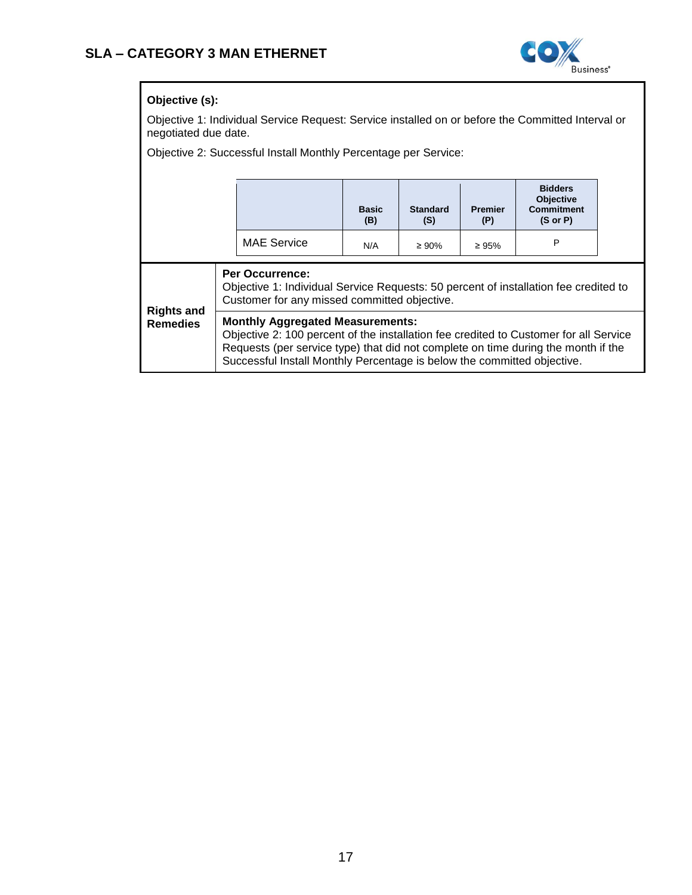

### **Objective (s):**

Objective 1: Individual Service Request: Service installed on or before the Committed Interval or negotiated due date.

Objective 2: Successful Install Monthly Percentage per Service:

|                                      |                                                                                                                                                                                                                                                                                                  |                    | <b>Basic</b><br>(B) | <b>Standard</b><br>(S) | <b>Premier</b><br>(P) | <b>Bidders</b><br><b>Objective</b><br><b>Commitment</b><br>$(S \text{ or } P)$ |  |  |
|--------------------------------------|--------------------------------------------------------------------------------------------------------------------------------------------------------------------------------------------------------------------------------------------------------------------------------------------------|--------------------|---------------------|------------------------|-----------------------|--------------------------------------------------------------------------------|--|--|
|                                      |                                                                                                                                                                                                                                                                                                  | <b>MAE Service</b> | N/A                 | $\geq 90\%$            | $\geq 95\%$           | P                                                                              |  |  |
| <b>Rights and</b><br><b>Remedies</b> | <b>Per Occurrence:</b><br>Objective 1: Individual Service Requests: 50 percent of installation fee credited to<br>Customer for any missed committed objective.                                                                                                                                   |                    |                     |                        |                       |                                                                                |  |  |
|                                      | <b>Monthly Aggregated Measurements:</b><br>Objective 2: 100 percent of the installation fee credited to Customer for all Service<br>Requests (per service type) that did not complete on time during the month if the<br>Successful Install Monthly Percentage is below the committed objective. |                    |                     |                        |                       |                                                                                |  |  |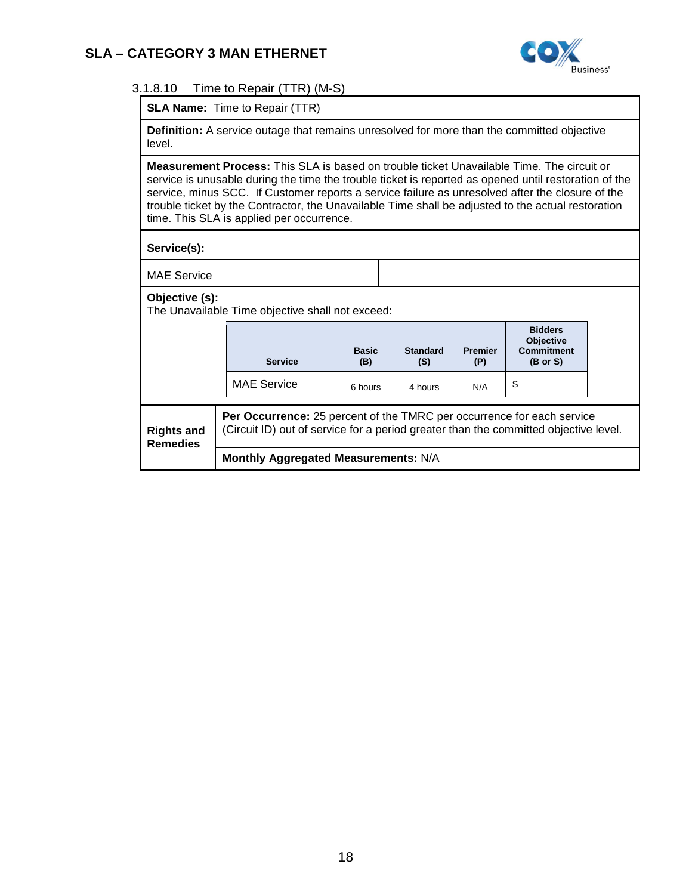

### 3.1.8.10 Time to Repair (TTR) (M-S)

**SLA Name:** Time to Repair (TTR)

**Definition:** A service outage that remains unresolved for more than the committed objective level.

**Measurement Process:** This SLA is based on trouble ticket Unavailable Time. The circuit or service is unusable during the time the trouble ticket is reported as opened until restoration of the service, minus SCC. If Customer reports a service failure as unresolved after the closure of the trouble ticket by the Contractor, the Unavailable Time shall be adjusted to the actual restoration time. This SLA is applied per occurrence.

**Service(s):**

MAE Service

#### **Objective (s):**

The Unavailable Time objective shall not exceed:

|                                      | <b>Service</b>                                                                                                                                                 | <b>Basic</b><br>(B) | <b>Standard</b><br>(S) | <b>Premier</b><br>(P) | <b>Bidders</b><br><b>Objective</b><br><b>Commitment</b><br>$(B \text{ or } S)$ |  |  |  |
|--------------------------------------|----------------------------------------------------------------------------------------------------------------------------------------------------------------|---------------------|------------------------|-----------------------|--------------------------------------------------------------------------------|--|--|--|
|                                      | <b>MAE Service</b>                                                                                                                                             | 6 hours             | 4 hours                | N/A                   | S                                                                              |  |  |  |
| <b>Rights and</b><br><b>Remedies</b> | Per Occurrence: 25 percent of the TMRC per occurrence for each service<br>(Circuit ID) out of service for a period greater than the committed objective level. |                     |                        |                       |                                                                                |  |  |  |
|                                      | Monthly Aggregated Measurements: N/A                                                                                                                           |                     |                        |                       |                                                                                |  |  |  |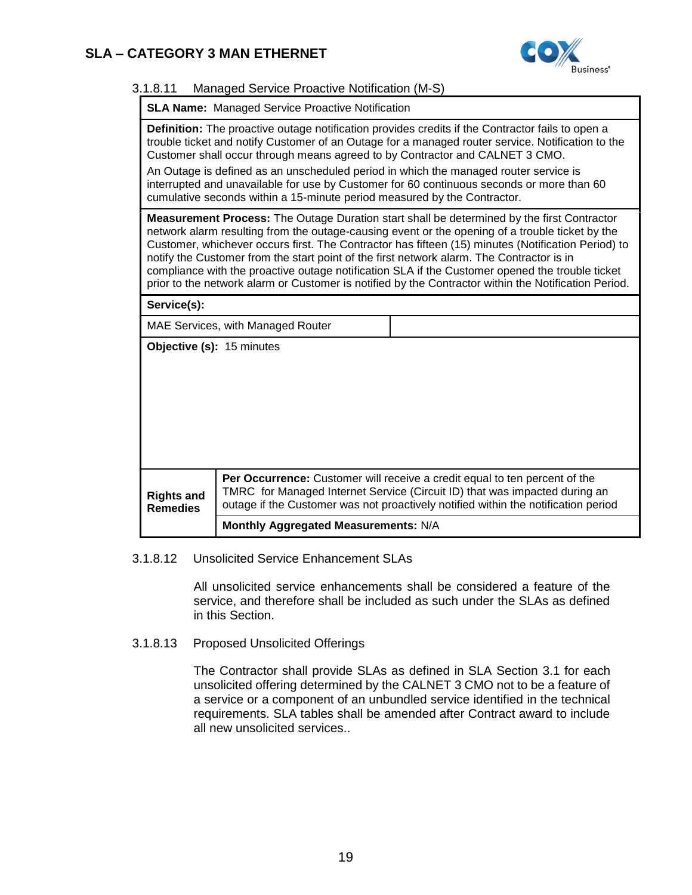

### 3.1.8.11 Managed Service Proactive Notification (M-S)

**SLA Name:** Managed Service Proactive Notification

**Definition:** The proactive outage notification provides credits if the Contractor fails to open a trouble ticket and notify Customer of an Outage for a managed router service. Notification to the Customer shall occur through means agreed to by Contractor and CALNET 3 CMO. An Outage is defined as an unscheduled period in which the managed router service is

interrupted and unavailable for use by Customer for 60 continuous seconds or more than 60 cumulative seconds within a 15-minute period measured by the Contractor.

**Measurement Process:** The Outage Duration start shall be determined by the first Contractor network alarm resulting from the outage-causing event or the opening of a trouble ticket by the Customer, whichever occurs first. The Contractor has fifteen (15) minutes (Notification Period) to notify the Customer from the start point of the first network alarm. The Contractor is in compliance with the proactive outage notification SLA if the Customer opened the trouble ticket prior to the network alarm or Customer is notified by the Contractor within the Notification Period.

**Service(s):** 

MAE Services, with Managed Router

**Objective (s):** 15 minutes

| <b>Rights and</b><br><b>Remedies</b> | <b>Per Occurrence:</b> Customer will receive a credit equal to ten percent of the<br>TMRC for Managed Internet Service (Circuit ID) that was impacted during an<br>outage if the Customer was not proactively notified within the notification period |
|--------------------------------------|-------------------------------------------------------------------------------------------------------------------------------------------------------------------------------------------------------------------------------------------------------|
|                                      | Monthly Aggregated Measurements: N/A                                                                                                                                                                                                                  |

#### 3.1.8.12 Unsolicited Service Enhancement SLAs

All unsolicited service enhancements shall be considered a feature of the service, and therefore shall be included as such under the SLAs as defined in this Section.

### 3.1.8.13 Proposed Unsolicited Offerings

The Contractor shall provide SLAs as defined in SLA Section [3.1](#page-0-0) for each unsolicited offering determined by the CALNET 3 CMO not to be a feature of a service or a component of an unbundled service identified in the technical requirements. SLA tables shall be amended after Contract award to include all new unsolicited services..